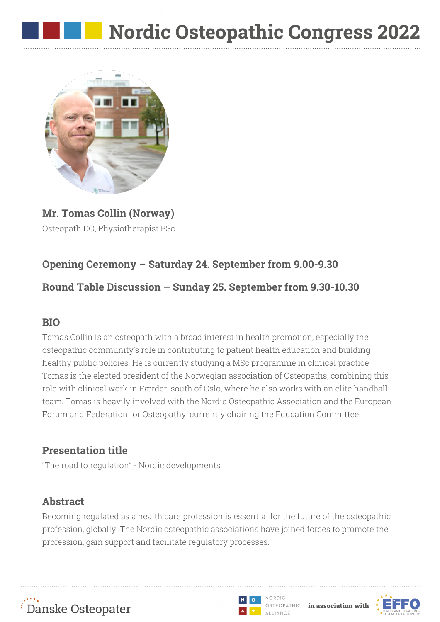

**Mr. Tomas Collin (Norway)** Osteopath DO, Physiotherapist BSc

# **Opening Ceremony – Saturday 24. September from 9.00-9.30**

## **Round Table Discussion – Sunday 25. September from 9.30-10.30**

### **BIO**

Tomas Collin is an osteopath with a broad interest in health promotion, especially the osteopathic community's role in contributing to patient health education and building healthy public policies. He is currently studying a MSc programme in clinical practice. Tomas is the elected president of the Norwegian association of Osteopaths, combining this role with clinical work in Færder, south of Oslo, where he also works with an elite handball team. Tomas is heavily involved with the Nordic Osteopathic Association and the European Forum and Federation for Osteopathy, currently chairing the Education Committee.

# **Presentation title**

"The road to regulation" - Nordic developments

# **Abstract**

Becoming regulated as a health care profession is essential for the future of the osteopathic profession, globally. The Nordic osteopathic associations have joined forces to promote the profession, gain support and facilitate regulatory processes.